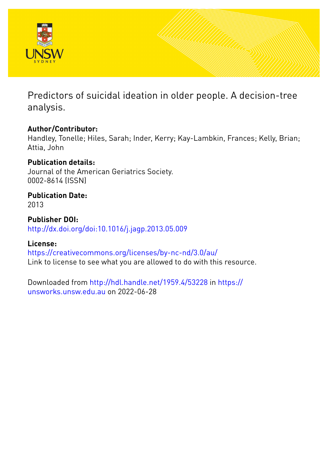

Predictors of suicidal ideation in older people. A decision-tree analysis.

# **Author/Contributor:**

Handley, Tonelle; Hiles, Sarah; Inder, Kerry; Kay-Lambkin, Frances; Kelly, Brian; Attia, John

# **Publication details:**

Journal of the American Geriatrics Society. 0002-8614 (ISSN)

# **Publication Date:**

2013

**Publisher DOI:** [http://dx.doi.org/doi:10.1016/j.jagp.2013.05.009](http://dx.doi.org/http://dx.doi.org/doi:10.1016/j.jagp.2013.05.009)

# **License:**

<https://creativecommons.org/licenses/by-nc-nd/3.0/au/> Link to license to see what you are allowed to do with this resource.

Downloaded from <http://hdl.handle.net/1959.4/53228> in [https://](https://unsworks.unsw.edu.au) [unsworks.unsw.edu.au](https://unsworks.unsw.edu.au) on 2022-06-28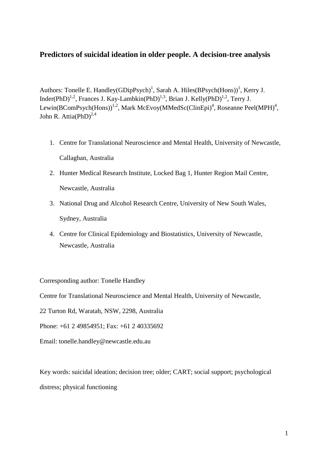# **Predictors of suicidal ideation in older people. A decision-tree analysis**

Authors: Tonelle E. Handley(GDipPsych)<sup>1</sup>, Sarah A. Hiles(BPsych(Hons))<sup>1</sup>, Kerry J. Inder(PhD)<sup>1,2</sup>, Frances J. Kay-Lambkin(PhD)<sup>1,3</sup>, Brian J. Kelly(PhD)<sup>1,2</sup>, Terry J. Lewin(BComPsych(Hons))<sup>1,2</sup>, Mark McEvoy(MMedSc(ClinEpi)<sup>4</sup>, Roseanne Peel(MPH)<sup>4</sup>, John R. Attia(PhD)<sup>2,4</sup>

- 1. Centre for Translational Neuroscience and Mental Health, University of Newcastle, Callaghan, Australia
- 2. Hunter Medical Research Institute, Locked Bag 1, Hunter Region Mail Centre, Newcastle, Australia
- 3. National Drug and Alcohol Research Centre, University of New South Wales, Sydney, Australia
- 4. Centre for Clinical Epidemiology and Biostatistics, University of Newcastle, Newcastle, Australia

Corresponding author: Tonelle Handley

Centre for Translational Neuroscience and Mental Health, University of Newcastle,

22 Turton Rd, Waratah, NSW, 2298, Australia

Phone: +61 2 49854951; Fax: +61 2 40335692

Email: tonelle.handley@newcastle.edu.au

Key words: suicidal ideation; decision tree; older; CART; social support; psychological distress; physical functioning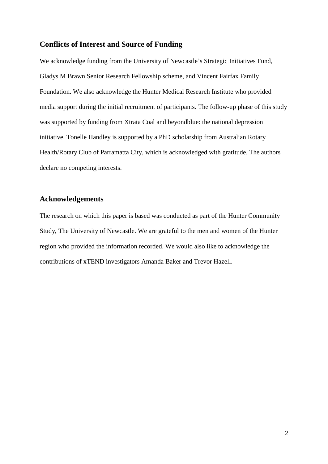## **Conflicts of Interest and Source of Funding**

We acknowledge funding from the University of Newcastle's Strategic Initiatives Fund, Gladys M Brawn Senior Research Fellowship scheme, and Vincent Fairfax Family Foundation. We also acknowledge the Hunter Medical Research Institute who provided media support during the initial recruitment of participants. The follow-up phase of this study was supported by funding from Xtrata Coal and beyondblue: the national depression initiative. Tonelle Handley is supported by a PhD scholarship from Australian Rotary Health/Rotary Club of Parramatta City, which is acknowledged with gratitude. The authors declare no competing interests.

# **Acknowledgements**

The research on which this paper is based was conducted as part of the Hunter Community Study, The University of Newcastle. We are grateful to the men and women of the Hunter region who provided the information recorded. We would also like to acknowledge the contributions of xTEND investigators Amanda Baker and Trevor Hazell.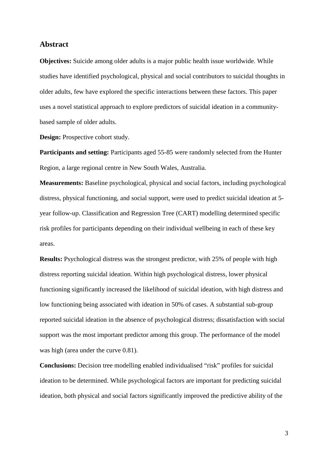#### **Abstract**

**Objectives:** Suicide among older adults is a major public health issue worldwide. While studies have identified psychological, physical and social contributors to suicidal thoughts in older adults, few have explored the specific interactions between these factors. This paper uses a novel statistical approach to explore predictors of suicidal ideation in a communitybased sample of older adults.

**Design:** Prospective cohort study.

**Participants and setting:** Participants aged 55-85 were randomly selected from the Hunter Region, a large regional centre in New South Wales, Australia.

**Measurements:** Baseline psychological, physical and social factors, including psychological distress, physical functioning, and social support, were used to predict suicidal ideation at 5 year follow-up. Classification and Regression Tree (CART) modelling determined specific risk profiles for participants depending on their individual wellbeing in each of these key areas.

**Results:** Psychological distress was the strongest predictor, with 25% of people with high distress reporting suicidal ideation. Within high psychological distress, lower physical functioning significantly increased the likelihood of suicidal ideation, with high distress and low functioning being associated with ideation in 50% of cases. A substantial sub-group reported suicidal ideation in the absence of psychological distress; dissatisfaction with social support was the most important predictor among this group. The performance of the model was high (area under the curve 0.81).

**Conclusions:** Decision tree modelling enabled individualised "risk" profiles for suicidal ideation to be determined. While psychological factors are important for predicting suicidal ideation, both physical and social factors significantly improved the predictive ability of the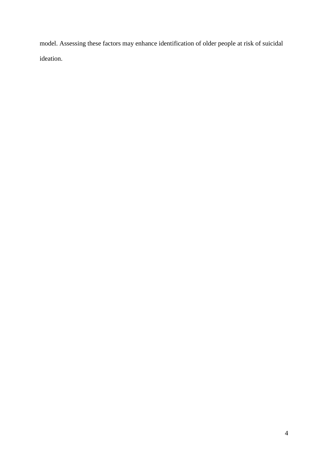model. Assessing these factors may enhance identification of older people at risk of suicidal ideation.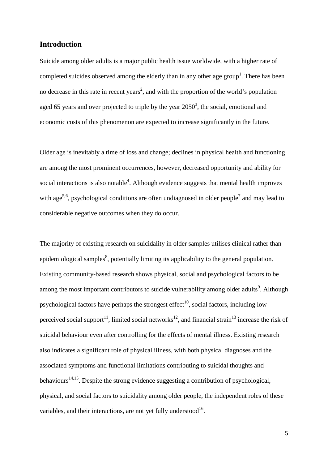### **Introduction**

Suicide among older adults is a major public health issue worldwide, with a higher rate of completed suicides observed among the elderly than in any other age group<sup>1</sup>. There has been no decrease in this rate in recent years<sup>2</sup>, and with the proportion of the world's population aged 65 years and over projected to triple by the year  $2050^3$ , the social, emotional and economic costs of this phenomenon are expected to increase significantly in the future.

Older age is inevitably a time of loss and change; declines in physical health and functioning are among the most prominent occurrences, however, decreased opportunity and ability for social interactions is also notable<sup>4</sup>. Although evidence suggests that mental health improves with age<sup>5,6</sup>, psychological conditions are often undiagnosed in older people<sup>7</sup> and may lead to considerable negative outcomes when they do occur.

The majority of existing research on suicidality in older samples utilises clinical rather than epidemiological samples<sup>8</sup>, potentially limiting its applicability to the general population. Existing community-based research shows physical, social and psychological factors to be among the most important contributors to suicide vulnerability among older adults<sup>9</sup>. Although psychological factors have perhaps the strongest effect<sup>10</sup>, social factors, including low perceived social support<sup>11</sup>, limited social networks<sup>12</sup>, and financial strain<sup>13</sup> increase the risk of suicidal behaviour even after controlling for the effects of mental illness. Existing research also indicates a significant role of physical illness, with both physical diagnoses and the associated symptoms and functional limitations contributing to suicidal thoughts and behaviours<sup>14,15</sup>. Despite the strong evidence suggesting a contribution of psychological, physical, and social factors to suicidality among older people, the independent roles of these variables, and their interactions, are not yet fully understood $^{16}$ .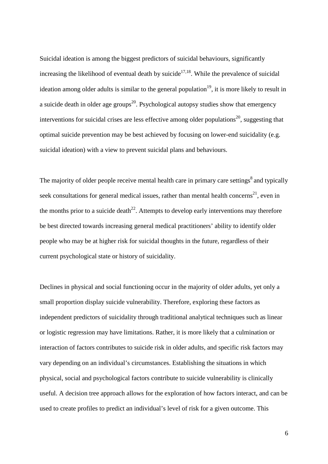Suicidal ideation is among the biggest predictors of suicidal behaviours, significantly increasing the likelihood of eventual death by suicide $17,18$ . While the prevalence of suicidal ideation among older adults is similar to the general population<sup>19</sup>, it is more likely to result in a suicide death in older age groups<sup>20</sup>. Psychological autopsy studies show that emergency interventions for suicidal crises are less effective among older populations<sup>20</sup>, suggesting that optimal suicide prevention may be best achieved by focusing on lower-end suicidality (e.g. suicidal ideation) with a view to prevent suicidal plans and behaviours.

The majority of older people receive mental health care in primary care settings $\delta$  and typically seek consultations for general medical issues, rather than mental health concerns<sup>21</sup>, even in the months prior to a suicide death<sup>22</sup>. Attempts to develop early interventions may therefore be best directed towards increasing general medical practitioners' ability to identify older people who may be at higher risk for suicidal thoughts in the future, regardless of their current psychological state or history of suicidality.

Declines in physical and social functioning occur in the majority of older adults, yet only a small proportion display suicide vulnerability. Therefore, exploring these factors as independent predictors of suicidality through traditional analytical techniques such as linear or logistic regression may have limitations. Rather, it is more likely that a culmination or interaction of factors contributes to suicide risk in older adults, and specific risk factors may vary depending on an individual's circumstances. Establishing the situations in which physical, social and psychological factors contribute to suicide vulnerability is clinically useful. A decision tree approach allows for the exploration of how factors interact, and can be used to create profiles to predict an individual's level of risk for a given outcome. This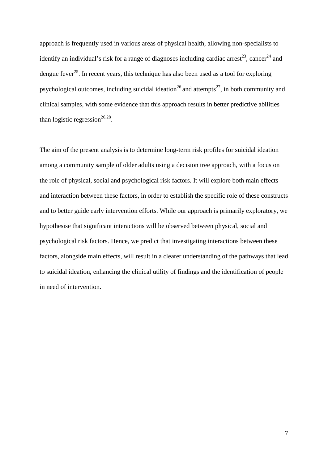approach is frequently used in various areas of physical health, allowing non-specialists to identify an individual's risk for a range of diagnoses including cardiac arrest<sup>23</sup>, cancer<sup>24</sup> and dengue fever<sup>25</sup>. In recent years, this technique has also been used as a tool for exploring psychological outcomes, including suicidal ideation<sup>26</sup> and attempts<sup>27</sup>, in both community and clinical samples, with some evidence that this approach results in better predictive abilities than logistic regression<sup>26,28</sup>.

The aim of the present analysis is to determine long-term risk profiles for suicidal ideation among a community sample of older adults using a decision tree approach, with a focus on the role of physical, social and psychological risk factors. It will explore both main effects and interaction between these factors, in order to establish the specific role of these constructs and to better guide early intervention efforts. While our approach is primarily exploratory, we hypothesise that significant interactions will be observed between physical, social and psychological risk factors. Hence, we predict that investigating interactions between these factors, alongside main effects, will result in a clearer understanding of the pathways that lead to suicidal ideation, enhancing the clinical utility of findings and the identification of people in need of intervention.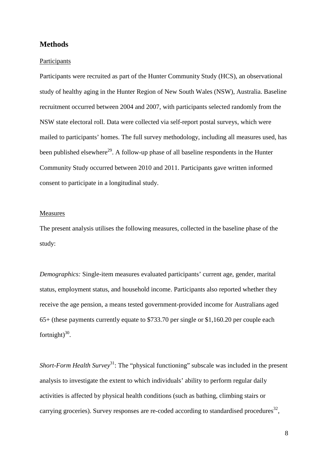## **Methods**

#### Participants

Participants were recruited as part of the Hunter Community Study (HCS), an observational study of healthy aging in the Hunter Region of New South Wales (NSW), Australia. Baseline recruitment occurred between 2004 and 2007, with participants selected randomly from the NSW state electoral roll. Data were collected via self-report postal surveys, which were mailed to participants' homes. The full survey methodology, including all measures used, has been published elsewhere<sup>29</sup>. A follow-up phase of all baseline respondents in the Hunter Community Study occurred between 2010 and 2011. Participants gave written informed consent to participate in a longitudinal study.

#### Measures

The present analysis utilises the following measures, collected in the baseline phase of the study:

*Demographics:* Single-item measures evaluated participants' current age, gender, marital status, employment status, and household income. Participants also reported whether they receive the age pension, a means tested government-provided income for Australians aged 65+ (these payments currently equate to \$733.70 per single or \$1,160.20 per couple each fortnight) $30$ .

*Short-Form Health Survey*<sup>31</sup>: The "physical functioning" subscale was included in the present analysis to investigate the extent to which individuals' ability to perform regular daily activities is affected by physical health conditions (such as bathing, climbing stairs or carrying groceries). Survey responses are re-coded according to standardised procedures<sup>32</sup>,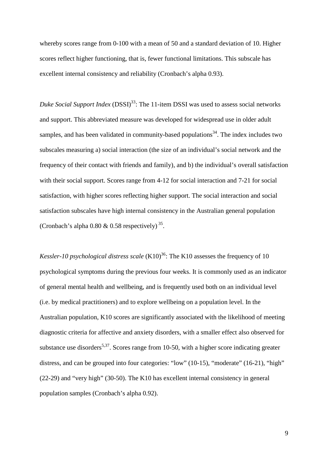whereby scores range from 0-100 with a mean of 50 and a standard deviation of 10. Higher scores reflect higher functioning, that is, fewer functional limitations. This subscale has excellent internal consistency and reliability (Cronbach's alpha 0.93).

Duke Social Support Index (DSSI)<sup>33</sup>: The 11-item DSSI was used to assess social networks and support. This abbreviated measure was developed for widespread use in older adult samples, and has been validated in community-based populations<sup>34</sup>. The index includes two subscales measuring a) social interaction (the size of an individual's social network and the frequency of their contact with friends and family), and b) the individual's overall satisfaction with their social support. Scores range from 4-12 for social interaction and 7-21 for social satisfaction, with higher scores reflecting higher support. The social interaction and social satisfaction subscales have high internal consistency in the Australian general population (Cronbach's alpha 0.80  $\&$  0.58 respectively)<sup>35</sup>.

*Kessler-10 psychological distress scale*  $(K10)^{36}$ : The K10 assesses the frequency of 10 psychological symptoms during the previous four weeks. It is commonly used as an indicator of general mental health and wellbeing, and is frequently used both on an individual level (i.e. by medical practitioners) and to explore wellbeing on a population level. In the Australian population, K10 scores are significantly associated with the likelihood of meeting diagnostic criteria for affective and anxiety disorders, with a smaller effect also observed for substance use disorders<sup>5,37</sup>. Scores range from 10-50, with a higher score indicating greater distress, and can be grouped into four categories: "low" (10-15), "moderate" (16-21), "high" (22-29) and "very high" (30-50). The K10 has excellent internal consistency in general population samples (Cronbach's alpha 0.92).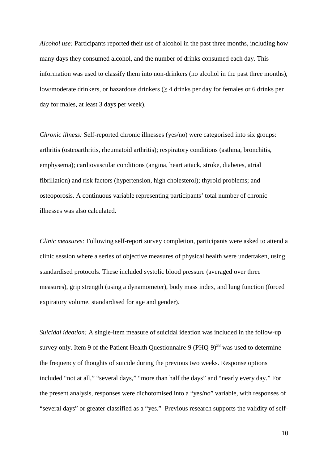*Alcohol use:* Participants reported their use of alcohol in the past three months, including how many days they consumed alcohol, and the number of drinks consumed each day. This information was used to classify them into non-drinkers (no alcohol in the past three months), low/moderate drinkers, or hazardous drinkers (≥ 4 drinks per day for females or 6 drinks per day for males, at least 3 days per week).

*Chronic illness:* Self-reported chronic illnesses (yes/no) were categorised into six groups: arthritis (osteoarthritis, rheumatoid arthritis); respiratory conditions (asthma, bronchitis, emphysema); cardiovascular conditions (angina, heart attack, stroke, diabetes, atrial fibrillation) and risk factors (hypertension, high cholesterol); thyroid problems; and osteoporosis. A continuous variable representing participants' total number of chronic illnesses was also calculated.

*Clinic measures:* Following self-report survey completion, participants were asked to attend a clinic session where a series of objective measures of physical health were undertaken, using standardised protocols. These included systolic blood pressure (averaged over three measures), grip strength (using a dynamometer), body mass index, and lung function (forced expiratory volume, standardised for age and gender).

*Suicidal ideation:* A single-item measure of suicidal ideation was included in the follow-up survey only. Item 9 of the Patient Health Questionnaire-9 (PHQ-9)<sup>38</sup> was used to determine the frequency of thoughts of suicide during the previous two weeks. Response options included "not at all," "several days," "more than half the days" and "nearly every day." For the present analysis, responses were dichotomised into a "yes/no" variable, with responses of "several days" or greater classified as a "yes." Previous research supports the validity of self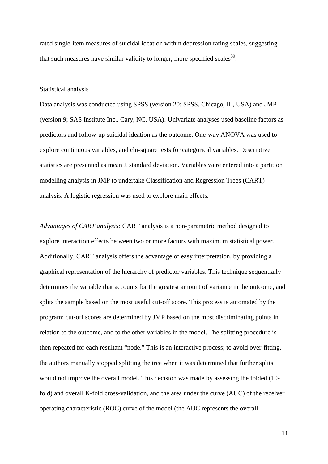rated single-item measures of suicidal ideation within depression rating scales, suggesting that such measures have similar validity to longer, more specified scales  $39$ .

#### Statistical analysis

Data analysis was conducted using SPSS (version 20; SPSS, Chicago, IL, USA) and JMP (version 9; SAS Institute Inc., Cary, NC, USA). Univariate analyses used baseline factors as predictors and follow-up suicidal ideation as the outcome. One-way ANOVA was used to explore continuous variables, and chi-square tests for categorical variables. Descriptive statistics are presented as mean ± standard deviation. Variables were entered into a partition modelling analysis in JMP to undertake Classification and Regression Trees (CART) analysis. A logistic regression was used to explore main effects.

*Advantages of CART analysis:* CART analysis is a non-parametric method designed to explore interaction effects between two or more factors with maximum statistical power. Additionally, CART analysis offers the advantage of easy interpretation, by providing a graphical representation of the hierarchy of predictor variables. This technique sequentially determines the variable that accounts for the greatest amount of variance in the outcome, and splits the sample based on the most useful cut-off score. This process is automated by the program; cut-off scores are determined by JMP based on the most discriminating points in relation to the outcome, and to the other variables in the model. The splitting procedure is then repeated for each resultant "node." This is an interactive process; to avoid over-fitting, the authors manually stopped splitting the tree when it was determined that further splits would not improve the overall model. This decision was made by assessing the folded (10 fold) and overall K-fold cross-validation, and the area under the curve (AUC) of the receiver operating characteristic (ROC) curve of the model (the AUC represents the overall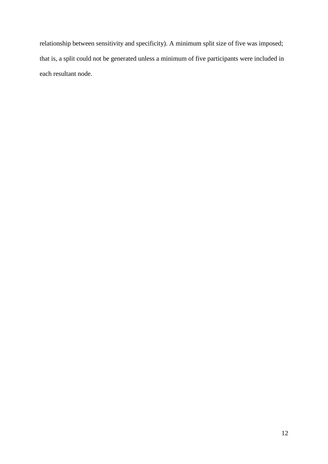relationship between sensitivity and specificity). A minimum split size of five was imposed; that is, a split could not be generated unless a minimum of five participants were included in each resultant node.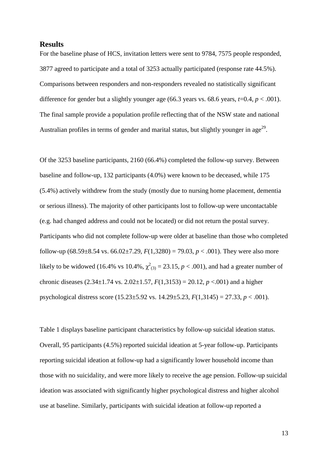#### **Results**

For the baseline phase of HCS, invitation letters were sent to 9784, 7575 people responded, 3877 agreed to participate and a total of 3253 actually participated (response rate 44.5%). Comparisons between responders and non-responders revealed no statistically significant difference for gender but a slightly younger age (66.3 years vs. 68.6 years,  $t=0.4$ ,  $p < .001$ ). The final sample provide a population profile reflecting that of the NSW state and national Australian profiles in terms of gender and marital status, but slightly younger in  $age^{29}$ .

Of the 3253 baseline participants, 2160 (66.4%) completed the follow-up survey. Between baseline and follow-up, 132 participants (4.0%) were known to be deceased, while 175 (5.4%) actively withdrew from the study (mostly due to nursing home placement, dementia or serious illness). The majority of other participants lost to follow-up were uncontactable (e.g. had changed address and could not be located) or did not return the postal survey. Participants who did not complete follow-up were older at baseline than those who completed follow-up (68.59 $\pm$ 8.54 vs. 66.02 $\pm$ 7.29, *F*(1,3280) = 79.03, *p* < .001). They were also more likely to be widowed (16.4% vs 10.4%,  $\chi^2_{(3)} = 23.15$ ,  $p < .001$ ), and had a greater number of chronic diseases  $(2.34 \pm 1.74 \text{ vs. } 2.02 \pm 1.57, F(1,3153) = 20.12, p < .001)$  and a higher psychological distress score (15.23±5.92 vs. 14.29±5.23, *F*(1,3145) = 27.33, *p* < .001).

Table 1 displays baseline participant characteristics by follow-up suicidal ideation status. Overall, 95 participants (4.5%) reported suicidal ideation at 5-year follow-up. Participants reporting suicidal ideation at follow-up had a significantly lower household income than those with no suicidality, and were more likely to receive the age pension. Follow-up suicidal ideation was associated with significantly higher psychological distress and higher alcohol use at baseline. Similarly, participants with suicidal ideation at follow-up reported a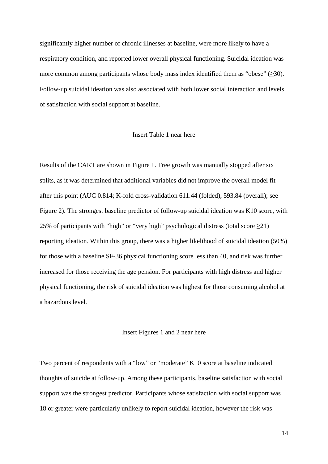significantly higher number of chronic illnesses at baseline, were more likely to have a respiratory condition, and reported lower overall physical functioning. Suicidal ideation was more common among participants whose body mass index identified them as "obese"  $(\geq 30)$ . Follow-up suicidal ideation was also associated with both lower social interaction and levels of satisfaction with social support at baseline.

#### Insert Table 1 near here

Results of the CART are shown in Figure 1. Tree growth was manually stopped after six splits, as it was determined that additional variables did not improve the overall model fit after this point (AUC 0.814; K-fold cross-validation 611.44 (folded), 593.84 (overall); see Figure 2). The strongest baseline predictor of follow-up suicidal ideation was K10 score, with 25% of participants with "high" or "very high" psychological distress (total score  $\geq$ 21) reporting ideation. Within this group, there was a higher likelihood of suicidal ideation (50%) for those with a baseline SF-36 physical functioning score less than 40, and risk was further increased for those receiving the age pension. For participants with high distress and higher physical functioning, the risk of suicidal ideation was highest for those consuming alcohol at a hazardous level.

#### Insert Figures 1 and 2 near here

Two percent of respondents with a "low" or "moderate" K10 score at baseline indicated thoughts of suicide at follow-up. Among these participants, baseline satisfaction with social support was the strongest predictor. Participants whose satisfaction with social support was 18 or greater were particularly unlikely to report suicidal ideation, however the risk was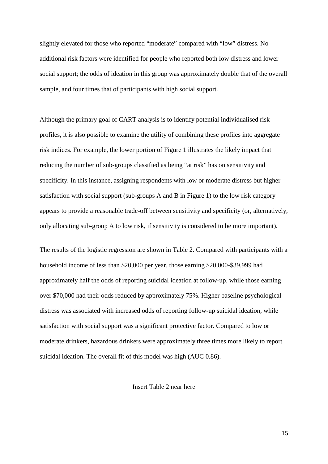slightly elevated for those who reported "moderate" compared with "low" distress. No additional risk factors were identified for people who reported both low distress and lower social support; the odds of ideation in this group was approximately double that of the overall sample, and four times that of participants with high social support.

Although the primary goal of CART analysis is to identify potential individualised risk profiles, it is also possible to examine the utility of combining these profiles into aggregate risk indices. For example, the lower portion of Figure 1 illustrates the likely impact that reducing the number of sub-groups classified as being "at risk" has on sensitivity and specificity. In this instance, assigning respondents with low or moderate distress but higher satisfaction with social support (sub-groups A and B in Figure 1) to the low risk category appears to provide a reasonable trade-off between sensitivity and specificity (or, alternatively, only allocating sub-group A to low risk, if sensitivity is considered to be more important).

The results of the logistic regression are shown in Table 2. Compared with participants with a household income of less than \$20,000 per year, those earning \$20,000-\$39,999 had approximately half the odds of reporting suicidal ideation at follow-up, while those earning over \$70,000 had their odds reduced by approximately 75%. Higher baseline psychological distress was associated with increased odds of reporting follow-up suicidal ideation, while satisfaction with social support was a significant protective factor. Compared to low or moderate drinkers, hazardous drinkers were approximately three times more likely to report suicidal ideation. The overall fit of this model was high (AUC 0.86).

Insert Table 2 near here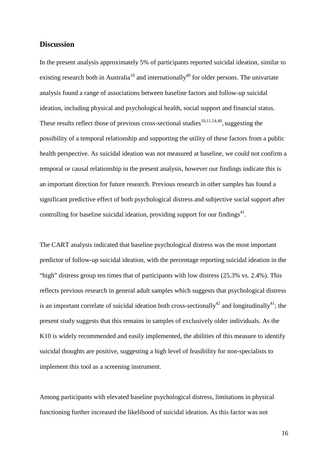#### **Discussion**

In the present analysis approximately 5% of participants reported suicidal ideation, similar to existing research both in Australia<sup>10</sup> and internationally<sup>40</sup> for older persons. The univariate analysis found a range of associations between baseline factors and follow-up suicidal ideation, including physical and psychological health, social support and financial status. These results reflect those of previous cross-sectional studies<sup>10,11,14,40</sup>, suggesting the possibility of a temporal relationship and supporting the utility of these factors from a public health perspective. As suicidal ideation was not measured at baseline, we could not confirm a temporal or causal relationship in the present analysis, however our findings indicate this is an important direction for future research. Previous research in other samples has found a significant predictive effect of both psychological distress and subjective social support after controlling for baseline suicidal ideation, providing support for our findings<sup>41</sup>.

The CART analysis indicated that baseline psychological distress was the most important predictor of follow-up suicidal ideation, with the percentage reporting suicidal ideation in the "high" distress group ten times that of participants with low distress (25.3% vs. 2.4%). This reflects previous research in general adult samples which suggests that psychological distress is an important correlate of suicidal ideation both cross-sectionally<sup>42</sup> and longitudinally<sup>41</sup>; the present study suggests that this remains in samples of exclusively older individuals. As the K10 is widely recommended and easily implemented, the abilities of this measure to identify suicidal thoughts are positive, suggesting a high level of feasibility for non-specialists to implement this tool as a screening instrument.

Among participants with elevated baseline psychological distress, limitations in physical functioning further increased the likelihood of suicidal ideation. As this factor was not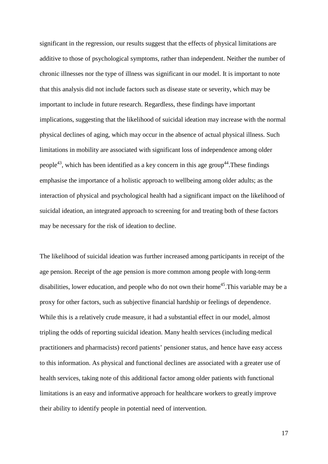significant in the regression, our results suggest that the effects of physical limitations are additive to those of psychological symptoms, rather than independent. Neither the number of chronic illnesses nor the type of illness was significant in our model. It is important to note that this analysis did not include factors such as disease state or severity, which may be important to include in future research. Regardless, these findings have important implications, suggesting that the likelihood of suicidal ideation may increase with the normal physical declines of aging, which may occur in the absence of actual physical illness. Such limitations in mobility are associated with significant loss of independence among older people<sup>43</sup>, which has been identified as a key concern in this age group<sup>44</sup>. These findings emphasise the importance of a holistic approach to wellbeing among older adults; as the interaction of physical and psychological health had a significant impact on the likelihood of suicidal ideation, an integrated approach to screening for and treating both of these factors may be necessary for the risk of ideation to decline.

The likelihood of suicidal ideation was further increased among participants in receipt of the age pension. Receipt of the age pension is more common among people with long-term disabilities, lower education, and people who do not own their home<sup>45</sup>. This variable may be a proxy for other factors, such as subjective financial hardship or feelings of dependence. While this is a relatively crude measure, it had a substantial effect in our model, almost tripling the odds of reporting suicidal ideation. Many health services (including medical practitioners and pharmacists) record patients' pensioner status, and hence have easy access to this information. As physical and functional declines are associated with a greater use of health services, taking note of this additional factor among older patients with functional limitations is an easy and informative approach for healthcare workers to greatly improve their ability to identify people in potential need of intervention.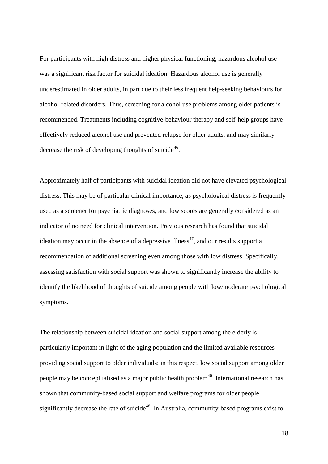For participants with high distress and higher physical functioning, hazardous alcohol use was a significant risk factor for suicidal ideation. Hazardous alcohol use is generally underestimated in older adults, in part due to their less frequent help-seeking behaviours for alcohol-related disorders. Thus, screening for alcohol use problems among older patients is recommended. Treatments including cognitive-behaviour therapy and self-help groups have effectively reduced alcohol use and prevented relapse for older adults, and may similarly decrease the risk of developing thoughts of suicide<sup>46</sup>.

Approximately half of participants with suicidal ideation did not have elevated psychological distress. This may be of particular clinical importance, as psychological distress is frequently used as a screener for psychiatric diagnoses, and low scores are generally considered as an indicator of no need for clinical intervention. Previous research has found that suicidal ideation may occur in the absence of a depressive illness<sup>47</sup>, and our results support a recommendation of additional screening even among those with low distress. Specifically, assessing satisfaction with social support was shown to significantly increase the ability to identify the likelihood of thoughts of suicide among people with low/moderate psychological symptoms.

The relationship between suicidal ideation and social support among the elderly is particularly important in light of the aging population and the limited available resources providing social support to older individuals; in this respect, low social support among older people may be conceptualised as a major public health problem<sup>40</sup>. International research has shown that community-based social support and welfare programs for older people significantly decrease the rate of suicide<sup>48</sup>. In Australia, community-based programs exist to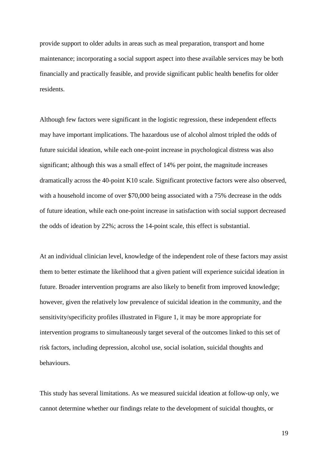provide support to older adults in areas such as meal preparation, transport and home maintenance; incorporating a social support aspect into these available services may be both financially and practically feasible, and provide significant public health benefits for older residents.

Although few factors were significant in the logistic regression, these independent effects may have important implications. The hazardous use of alcohol almost tripled the odds of future suicidal ideation, while each one-point increase in psychological distress was also significant; although this was a small effect of 14% per point, the magnitude increases dramatically across the 40-point K10 scale. Significant protective factors were also observed, with a household income of over \$70,000 being associated with a 75% decrease in the odds of future ideation, while each one-point increase in satisfaction with social support decreased the odds of ideation by 22%; across the 14-point scale, this effect is substantial.

At an individual clinician level, knowledge of the independent role of these factors may assist them to better estimate the likelihood that a given patient will experience suicidal ideation in future. Broader intervention programs are also likely to benefit from improved knowledge; however, given the relatively low prevalence of suicidal ideation in the community, and the sensitivity/specificity profiles illustrated in Figure 1, it may be more appropriate for intervention programs to simultaneously target several of the outcomes linked to this set of risk factors, including depression, alcohol use, social isolation, suicidal thoughts and behaviours.

This study has several limitations. As we measured suicidal ideation at follow-up only, we cannot determine whether our findings relate to the development of suicidal thoughts, or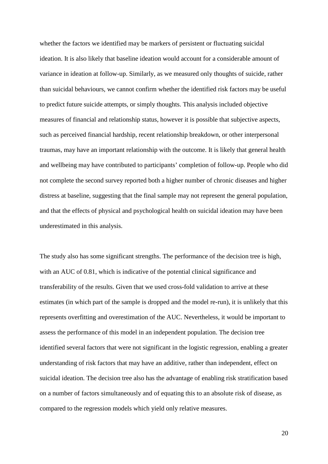whether the factors we identified may be markers of persistent or fluctuating suicidal ideation. It is also likely that baseline ideation would account for a considerable amount of variance in ideation at follow-up. Similarly, as we measured only thoughts of suicide, rather than suicidal behaviours, we cannot confirm whether the identified risk factors may be useful to predict future suicide attempts, or simply thoughts. This analysis included objective measures of financial and relationship status, however it is possible that subjective aspects, such as perceived financial hardship, recent relationship breakdown, or other interpersonal traumas, may have an important relationship with the outcome. It is likely that general health and wellbeing may have contributed to participants' completion of follow-up. People who did not complete the second survey reported both a higher number of chronic diseases and higher distress at baseline, suggesting that the final sample may not represent the general population, and that the effects of physical and psychological health on suicidal ideation may have been underestimated in this analysis.

The study also has some significant strengths. The performance of the decision tree is high, with an AUC of 0.81, which is indicative of the potential clinical significance and transferability of the results. Given that we used cross-fold validation to arrive at these estimates (in which part of the sample is dropped and the model re-run), it is unlikely that this represents overfitting and overestimation of the AUC. Nevertheless, it would be important to assess the performance of this model in an independent population. The decision tree identified several factors that were not significant in the logistic regression, enabling a greater understanding of risk factors that may have an additive, rather than independent, effect on suicidal ideation. The decision tree also has the advantage of enabling risk stratification based on a number of factors simultaneously and of equating this to an absolute risk of disease, as compared to the regression models which yield only relative measures.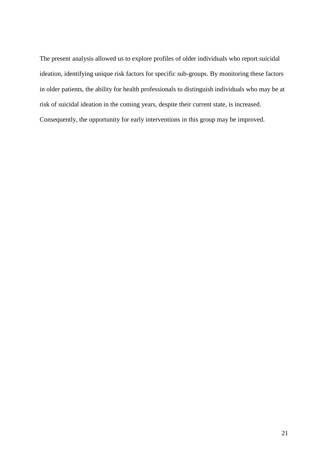The present analysis allowed us to explore profiles of older individuals who report suicidal ideation, identifying unique risk factors for specific sub-groups. By monitoring these factors in older patients, the ability for health professionals to distinguish individuals who may be at risk of suicidal ideation in the coming years, despite their current state, is increased. Consequently, the opportunity for early interventions in this group may be improved.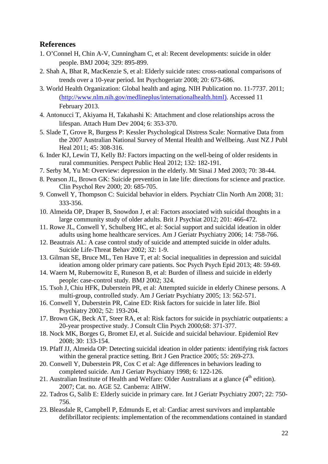# **References**

- 1. O'Connel H, Chin A-V, Cunningham C, et al: Recent developments: suicide in older people. BMJ 2004; 329: 895-899.
- 2. Shah A, Bhat R, MacKenzie S, et al: Elderly suicide rates: cross-national comparisons of trends over a 10-year period. Int Psychogeriatr 2008; 20: 673-686.
- 3. World Health Organization: Global health and aging. NIH Publication no. 11-7737. 2011; [\(http://www.nlm.nih.gov/medlineplus/internationalhealth.html\)](http://www.nlm.nih.gov/medlineplus/internationalhealth.html). Accessed 11 February 2013.
- 4. Antonucci T, Akiyama H, Takahashi K: Attachment and close relationships across the lifespan. Attach Hum Dev 2004; 6: 353-370.
- 5. Slade T, Grove R, Burgess P: Kessler Psychological Distress Scale: Normative Data from the 2007 Australian National Survey of Mental Health and Wellbeing. Aust NZ J Publ Heal 2011; 45: 308-316.
- 6. Inder KJ, Lewin TJ, Kelly BJ: Factors impacting on the well-being of older residents in rural communities. Perspect Public Heal 2012; 132: 182-191.
- 7. Serby M, Yu M: Overview: depression in the elderly. Mt Sinai J Med 2003; 70: 38-44.
- 8. Pearson JL, Brown GK: Suicide prevention in late life: directions for science and practice. Clin Psychol Rev 2000; 20: 685-705.
- 9. Conwell Y, Thompson C: Suicidal behavior in elders. Psychiatr Clin North Am 2008; 31: 333-356.
- 10. Almeida OP, Draper B, Snowdon J, et al: Factors associated with suicidal thoughts in a large community study of older adults. Brit J Psychiat 2012; 201: 466-472.
- 11. Rowe JL, Conwell Y, Schulberg HC, et al: Social support and suicidal ideation in older adults using home healthcare services. Am J Geriatr Psychiatry 2006; 14: 758-766.
- 12. Beautrais AL: A case control study of suicide and attempted suicide in older adults. Suicide Life-Threat Behav 2002; 32: 1-9.
- 13. Gilman SE, Bruce ML, Ten Have T, et al: Social inequalities in depression and suicidal ideation among older primary care patients. Soc Psych Psych Epid 2013; 48: 59-69.
- 14. Waern M, Rubernowitz E, Runeson B, et al: Burden of illness and suicide in elderly people: case-control study. BMJ 2002; 324.
- 15. Tsoh J, Chiu HFK, Duberstein PR, et al: Attempted suicide in elderly Chinese persons. A multi-group, controlled study. Am J Geriatr Psychiatry 2005; 13: 562-571.
- 16. Conwell Y, Duberstein PR, Caine ED: Risk factors for suicide in later life. Biol Psychiatry 2002; 52: 193-204.
- 17. Brown GK, Beck AT, Steer RA, et al: Risk factors for suicide in psychiatric outpatients: a 20-year prospective study. J Consult Clin Psych 2000;68: 371-377.
- 18. Nock MK, Borges G, Bromet EJ, et al. Suicide and suicidal behaviour. Epidemiol Rev 2008; 30: 133-154.
- 19. Pfaff JJ, Almeida OP: Detecting suicidal ideation in older patients: identifying risk factors within the general practice setting. Brit J Gen Practice 2005; 55: 269-273.
- 20. Conwell Y, Duberstein PR, Cox C et al: Age differences in behaviors leading to completed suicide. Am J Geriatr Psychiatry 1998; 6: 122-126.
- 21. Australian Institute of Health and Welfare: Older Australians at a glance  $(4<sup>th</sup>$  edition). 2007; Cat. no. AGE 52. Canberra: AIHW.
- 22. Tadros G, Salib E: Elderly suicide in primary care. Int J Geriatr Psychiatry 2007; 22: 750- 756.
- 23. Bleasdale R, Campbell P, Edmunds E, et al: Cardiac arrest survivors and implantable defibrillator recipients: implementation of the recommendations contained in standard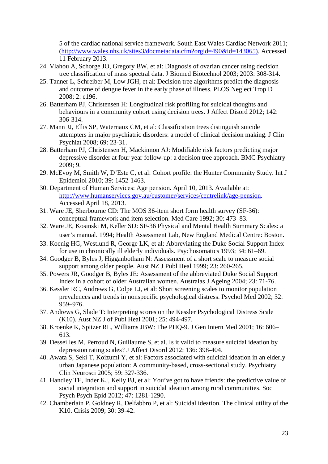5 of the cardiac national service framework. South East Wales Cardiac Network 2011; [\(http://www.wales.nhs.uk/sites3/docmetadata.cfm?orgid=490&id=143065\)](http://www.wales.nhs.uk/sites3/docmetadata.cfm?orgid=490&id=143065). Accessed 11 February 2013.

- 24. Vlahou A, Schorge JO, Gregory BW, et al: Diagnosis of ovarian cancer using decision tree classification of mass spectral data. J Biomed Biotechnol 2003; 2003: 308-314.
- 25. Tanner L, Schreiber M, Low JGH, et al: Decision tree algorithms predict the diagnosis and outcome of dengue fever in the early phase of illness. PLOS Neglect Trop D 2008; 2: e196.
- 26. Batterham PJ, Christensen H: Longitudinal risk profiling for suicidal thoughts and behaviours in a community cohort using decision trees. J Affect Disord 2012; 142: 306-314.
- 27. Mann JJ, Ellis SP, Waternaux CM, et al: Classification trees distinguish suicide attempters in major psychiatric disorders: a model of clinical decision making. J Clin Psychiat 2008; 69: 23-31.
- 28. Batterham PJ, Christensen H, Mackinnon AJ: Modifiable risk factors predicting major depressive disorder at four year follow-up: a decision tree approach. BMC Psychiatry 2009; 9.
- 29. McEvoy M, Smith W, D'Este C, et al: Cohort profile: the Hunter Community Study. Int J Epidemiol 2010; 39: 1452-1463.
- 30. Department of Human Services: Age pension. April 10, 2013. Available at: [http://www.humanservices.gov.au/customer/services/centrelink/age-pension.](http://www.humanservices.gov.au/customer/services/centrelink/age-pension) Accessed April 18, 2013.
- 31. Ware JE, Sherbourne CD: The MOS 36-item short form health survey (SF-36): conceptual framework and item selection. Med Care 1992; 30: 473–83.
- 32. Ware JE, Kosinski M, Keller SD: SF-36 Physical and Mental Health Summary Scales: a user's manual. 1994; Health Assessment Lab, New England Medical Centre: Boston.
- 33. Koenig HG, Westlund R, George LK, et al: Abbreviating the Duke Social Support Index for use in chronically ill elderly individuals. Psychosomatics 1993; 34: 61–69.
- 34. Goodger B, Byles J, Higganbotham N: Assessment of a short scale to measure social support among older people. Aust NZ J Publ Heal 1999; 23: 260-265.
- 35. Powers JR, Goodger B, Byles JE: Assessment of the abbreviated Duke Social Support Index in a cohort of older Australian women. Australas J Ageing 2004; 23: 71-76.
- 36. Kessler RC, Andrews G, Colpe LJ, et al: Short screening scales to monitor population prevalences and trends in nonspecific psychological distress. Psychol Med 2002; 32: 959–976.
- 37. Andrews G, Slade T: Interpreting scores on the Kessler Psychological Distress Scale (K10). Aust NZ J of Publ Heal 2001; 25: 494-497.
- 38. Kroenke K, Spitzer RL, Williams JBW: The PHQ-9. J Gen Intern Med 2001; 16: 606– 613.
- 39. Desseilles M, Perroud N, Guillaume S, et al. Is it valid to measure suicidal ideation by depression rating scales? J Affect Disord 2012; 136: 398-404.
- 40. Awata S, Seki T, Koizumi Y, et al: Factors associated with suicidal ideation in an elderly urban Japanese population: A community-based, cross-sectional study. Psychiatry Clin Neurosci 2005; 59: 327-336.
- 41. Handley TE, Inder KJ, Kelly BJ, et al: You've got to have friends: the predictive value of social integration and support in suicidal ideation among rural communities. Soc Psych Psych Epid 2012; 47: 1281-1290.
- 42. Chamberlain P, Goldney R, Delfabbro P, et al: Suicidal ideation. The clinical utility of the K10. Crisis 2009; 30: 39-42.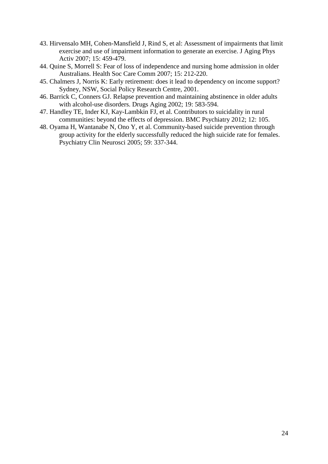- 43. Hirvensalo MH, Cohen-Mansfield J, Rind S, et al: Assessment of impairments that limit exercise and use of impairment information to generate an exercise. J Aging Phys Activ 2007; 15: 459-479.
- 44. Quine S, Morrell S: Fear of loss of independence and nursing home admission in older Australians. Health Soc Care Comm 2007; 15: 212-220.
- 45. Chalmers J, Norris K: Early retirement: does it lead to dependency on income support? Sydney, NSW, Social Policy Research Centre, 2001.
- 46. Barrick C, Conners GJ. Relapse prevention and maintaining abstinence in older adults with alcohol-use disorders. Drugs Aging 2002; 19: 583-594.
- 47. Handley TE, Inder KJ, Kay-Lambkin FJ, et al. Contributors to suicidality in rural communities: beyond the effects of depression. BMC Psychiatry 2012; 12: 105.
- 48. Oyama H, Wantanabe N, Ono Y, et al. Community-based suicide prevention through group activity for the elderly successfully reduced the high suicide rate for females. Psychiatry Clin Neurosci 2005; 59: 337-344.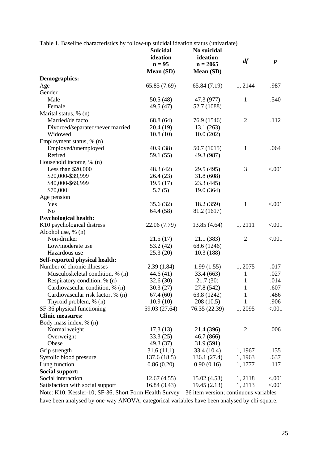| Table 1. Baseline characteristics by follow-up suicidal ideation status (univariate) |                 |               |                |                  |  |
|--------------------------------------------------------------------------------------|-----------------|---------------|----------------|------------------|--|
|                                                                                      | <b>Suicidal</b> | No suicidal   |                |                  |  |
|                                                                                      | ideation        | ideation      |                |                  |  |
|                                                                                      | $n = 95$        | $n = 2065$    | df             | $\boldsymbol{p}$ |  |
|                                                                                      | Mean (SD)       | Mean (SD)     |                |                  |  |
| <b>Demographics:</b>                                                                 |                 |               |                |                  |  |
| Age                                                                                  | 65.85 (7.69)    | 65.84 (7.19)  | 1, 2144        | .987             |  |
| Gender                                                                               |                 |               |                |                  |  |
| Male                                                                                 | 50.5 (48)       | 47.3 (977)    | $\mathbf{1}$   | .540             |  |
| Female                                                                               | 49.5 (47)       | 52.7 (1088)   |                |                  |  |
| Marital status, % (n)                                                                |                 |               |                |                  |  |
| Married/de facto                                                                     | 68.8 (64)       | 76.9 (1546)   | $\overline{2}$ | .112             |  |
| Divorced/separated/never married                                                     | 20.4(19)        | 13.1(263)     |                |                  |  |
| Widowed                                                                              | 10.8(10)        | 10.0(202)     |                |                  |  |
| Employment status, % (n)                                                             |                 |               |                |                  |  |
| Employed/unemployed                                                                  | 40.9 (38)       | 50.7 (1015)   | $\mathbf{1}$   | .064             |  |
| Retired                                                                              | 59.1 (55)       | 49.3 (987)    |                |                  |  |
| Household income, % (n)                                                              |                 |               |                |                  |  |
| Less than \$20,000                                                                   | 48.3 (42)       | 29.5 (495)    | 3              | < .001           |  |
| \$20,000-\$39,999                                                                    | 26.4(23)        | 31.8(608)     |                |                  |  |
| \$40,000-\$69,999                                                                    | 19.5(17)        | 23.3(445)     |                |                  |  |
| $$70,000+$                                                                           | 5.7(5)          | 19.0 (364)    |                |                  |  |
| Age pension                                                                          |                 |               |                |                  |  |
| Yes                                                                                  | 35.6(32)        | 18.2 (359)    | $\mathbf{1}$   | < .001           |  |
| N <sub>o</sub>                                                                       | 64.4 (58)       | 81.2 (1617)   |                |                  |  |
| <b>Psychological health:</b>                                                         |                 |               |                |                  |  |
| K10 psychological distress                                                           | 22.06 (7.79)    | 13.85(4.64)   | 1,2111         | < .001           |  |
| Alcohol use, % (n)                                                                   |                 |               |                |                  |  |
| Non-drinker                                                                          | 21.5(17)        | 21.1 (383)    | $\overline{2}$ | < .001           |  |
| Low/moderate use                                                                     | 53.2 (42)       | 68.6 (1246)   |                |                  |  |
| Hazardous use                                                                        | 25.3(20)        | 10.3(188)     |                |                  |  |
| Self-reported physical health:                                                       |                 |               |                |                  |  |
| Number of chronic illnesses                                                          | 2.39(1.84)      | 1.99(1.55)    | 1, 2075        | .017             |  |
| Musculoskeletal condition, % (n)                                                     | 44.6(41)        | 33.4 (663)    | 1              | .027             |  |
| Respiratory condition, % (n)                                                         | 32.6(30)        | 21.7(30)      | $\mathbf{1}$   | .014             |  |
| Cardiovascular condition, % (n)                                                      | 30.3(27)        | 27.8 (542)    | $\mathbf{1}$   | .607             |  |
| Cardiovascular risk factor, % (n)                                                    | 67.4(60)        | 63.8 (1242)   | 1              | .486             |  |
| Thyroid problem, % (n)                                                               | 10.9(10)        | 208(10.5)     | 1              | .906             |  |
| SF-36 physical functioning                                                           | 59.03 (27.64)   | 76.35 (22.39) | 1,2095         | < .001           |  |
| <b>Clinic measures:</b>                                                              |                 |               |                |                  |  |
| Body mass index, % (n)                                                               |                 |               |                |                  |  |
| Normal weight                                                                        | 17.3(13)        | 21.4 (396)    | $\overline{c}$ | .006             |  |
| Overweight                                                                           | 33.3(25)        | 46.7 (866)    |                |                  |  |
| Obese                                                                                | 49.3 (37)       | 31.9(591)     |                |                  |  |
| Grip strength                                                                        | 31.6(11.1)      | 33.4 (10.4)   | 1, 1967        | .135             |  |
| Systolic blood pressure                                                              | 137.6(18.5)     | 136.1 (27.4)  | 1,1963         | .637             |  |
| Lung function                                                                        | 0.86(0.20)      | 0.90(0.16)    | 1, 1777        | .117             |  |
| <b>Social support:</b>                                                               |                 |               |                |                  |  |
| Social interaction                                                                   | 12.67(4.55)     | 15.02(4.53)   | 1,2118         | < .001           |  |
| Satisfaction with social support                                                     | 16.84(3.43)     | 19.45(2.13)   | 1, 2113        | < .001           |  |

Note: K10, Kessler-10; SF-36, Short Form Health Survey – 36 item version; continuous variables have been analysed by one-way ANOVA, categorical variables have been analysed by chi-square.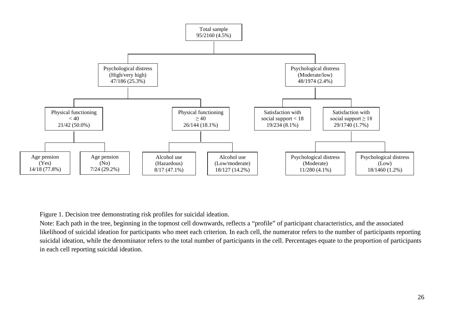

Figure 1. Decision tree demonstrating risk profiles for suicidal ideation.

Note: Each path in the tree, beginning in the topmost cell downwards, reflects a "profile" of participant characteristics, and the associated likelihood of suicidal ideation for participants who meet each criterion. In each cell, the numerator refers to the number of participants reporting suicidal ideation, while the denominator refers to the total number of participants in the cell. Percentages equate to the proportion of participants in each cell reporting suicidal ideation.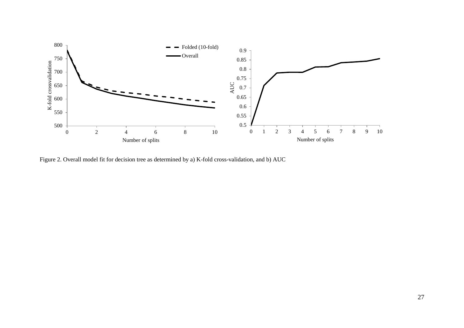

Figure 2. Overall model fit for decision tree as determined by a) K-fold cross-validation, and b) AUC